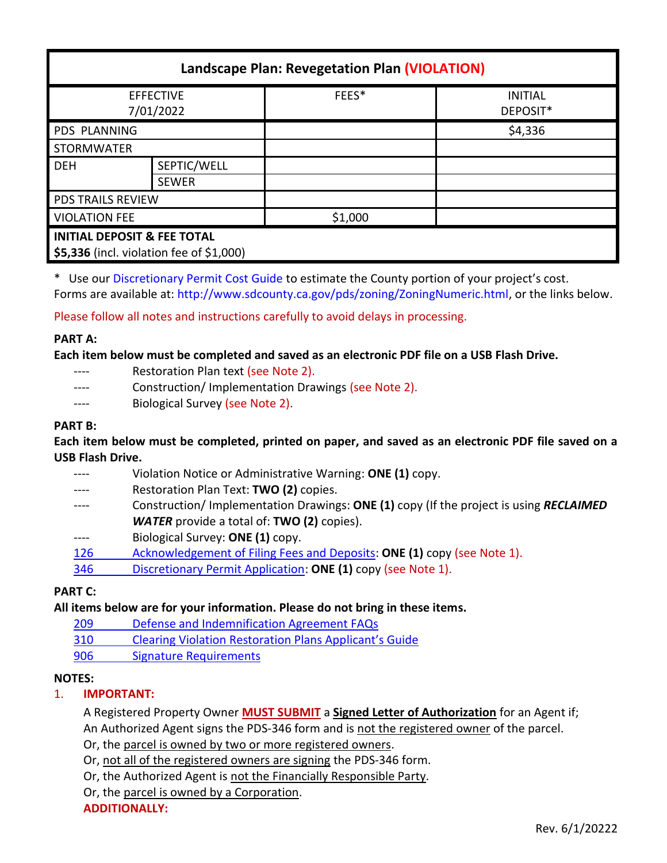| Landscape Plan: Revegetation Plan (VIOLATION)                                      |              |         |                            |
|------------------------------------------------------------------------------------|--------------|---------|----------------------------|
| <b>EFFECTIVE</b><br>7/01/2022                                                      |              | FEES*   | <b>INITIAL</b><br>DEPOSIT* |
| <b>PDS PLANNING</b>                                                                |              |         | \$4,336                    |
| <b>STORMWATER</b>                                                                  |              |         |                            |
| <b>DEH</b>                                                                         | SEPTIC/WELL  |         |                            |
|                                                                                    | <b>SEWER</b> |         |                            |
| <b>PDS TRAILS REVIEW</b>                                                           |              |         |                            |
| <b>VIOLATION FEE</b>                                                               |              | \$1,000 |                            |
| <b>INITIAL DEPOSIT &amp; FEE TOTAL</b><br>\$5,336 (incl. violation fee of \$1,000) |              |         |                            |

\* Use ou[r Discretionary Permit Cost Guide](http://www.sandiegocounty.gov/content/dam/sdc/pds/docs/Discretionary_Permit_Cost_Guide.xlsx) to estimate the County portion of your project's cost. Forms are available at[: http://www.sdcounty.ca.gov/pds/zoning/ZoningNumeric.html,](http://www.sdcounty.ca.gov/pds/zoning/ZoningNumeric.html) or the links below.

Please follow all notes and instructions carefully to avoid delays in processing.

# **PART A:**

**Each item below must be completed and saved as an electronic PDF file on a USB Flash Drive.**

- ---- Restoration Plan text (see Note 2).
- ---- Construction/ Implementation Drawings (see Note 2).
- ---- Biological Survey (see Note 2).

# **PART B:**

**Each item below must be completed, printed on paper, and saved as an electronic PDF file saved on a USB Flash Drive.**

- ---- Violation Notice or Administrative Warning: **ONE (1)** copy.
- ---- Restoration Plan Text: **TWO (2)** copies.
- ---- Construction/ Implementation Drawings: **ONE (1)** copy (If the project is using *RECLAIMED WATER* provide a total of: **TWO (2)** copies).
- ---- Biological Survey: **ONE (1)** copy.
- [126 Acknowledgement of Filing Fees and Deposits:](http://www.sdcounty.ca.gov/pds/zoning/formfields/PDS-PLN-126.pdf) **ONE (1)** copy (see Note 1).
- 346 [Discretionary Permit Application:](http://www.sdcounty.ca.gov/pds/zoning/formfields/PDS-PLN-346.pdf) **ONE (1)** copy (see Note 1).

# **PART C:**

**All items below are for your information. Please do not bring in these items.**

- 209 [Defense and Indemnification Agreement FAQs](http://www.sdcounty.ca.gov/pds/zoning/formfields/PDS-PLN-209.pdf)
- [310 Clearing Violation Restoration Plans Applica](http://www.sdcounty.ca.gov/pds/zoning/formfields/PDS-PLN-310.pdf)nt's Guide
- [906 Signature Requirements](http://www.sdcounty.ca.gov/pds/zoning/formfields/PDS-PLN-906.pdf)

# **NOTES:**

1. **IMPORTANT:** 

A Registered Property Owner **MUST SUBMIT** a **Signed Letter of Authorization** for an Agent if; An Authorized Agent signs the PDS-346 form and is not the registered owner of the parcel.

Or, the parcel is owned by two or more registered owners.

Or, not all of the registered owners are signing the PDS-346 form.

Or, the Authorized Agent is not the Financially Responsible Party.

Or, the parcel is owned by a Corporation.

**ADDITIONALLY:**